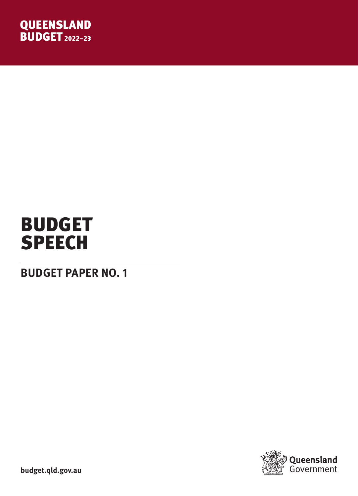# BUDGET **SPEECH**

# **BUDGET PAPER NO. 1**



budget.qld.gov.au **budget.qld.gov.au**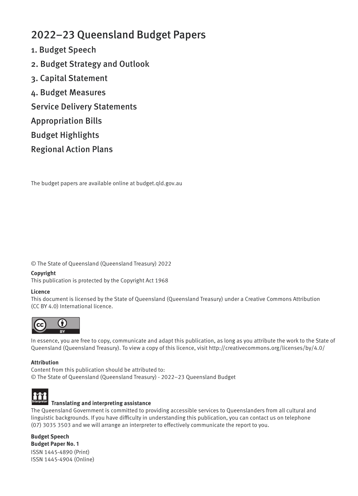# 2022–23 Queensland Budget Papers

1. Budget Speech 2. Budget Strategy and Outlook 3. Capital Statement 4. Budget Measures Service Delivery Statements Appropriation Bills Budget Highlights Regional Action Plans

The budget papers are available online at budget.qld.gov.au

© The State of Queensland (Queensland Treasury) 2022

#### **Copyright**

This publication is protected by the Copyright Act 1968

#### **Licence**

This document is licensed by the State of Queensland (Queensland Treasury) under a Creative Commons Attribution (CC BY 4.0) International licence.



In essence, you are free to copy, communicate and adapt this publication, as long as you attribute the work to the State of Queensland (Queensland Treasury). To view a copy of this licence, visit http://creativecommons.org/licenses/by/4.0/

#### **Attribution**

Content from this publication should be attributed to: © The State of Queensland (Queensland Treasury) - 2022–23 Queensland Budget



#### **Translating and interpreting assistance**

The Queensland Government is committed to providing accessible services to Queenslanders from all cultural and linguistic backgrounds. If you have difficulty in understanding this publication, you can contact us on telephone (07) 3035 3503 and we will arrange an interpreter to effectively communicate the report to you.

**Budget Speech Budget Paper No. 1** ISSN 1445-4890 (Print) ISSN 1445-4904 (Online)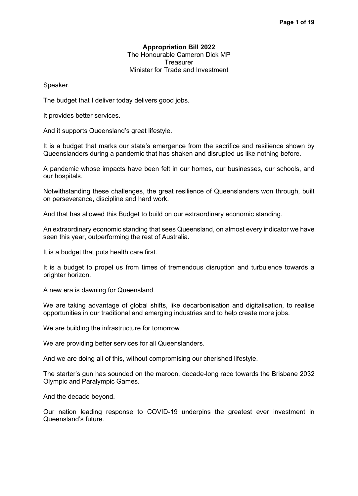# **Appropriation Bill 2022**

The Honourable Cameron Dick MP Treasurer Minister for Trade and Investment

Speaker,

The budget that I deliver today delivers good jobs.

It provides better services.

And it supports Queensland's great lifestyle.

It is a budget that marks our state's emergence from the sacrifice and resilience shown by Queenslanders during a pandemic that has shaken and disrupted us like nothing before.

A pandemic whose impacts have been felt in our homes, our businesses, our schools, and our hospitals.

Notwithstanding these challenges, the great resilience of Queenslanders won through, built on perseverance, discipline and hard work.

And that has allowed this Budget to build on our extraordinary economic standing.

An extraordinary economic standing that sees Queensland, on almost every indicator we have seen this year, outperforming the rest of Australia.

It is a budget that puts health care first.

It is a budget to propel us from times of tremendous disruption and turbulence towards a brighter horizon.

A new era is dawning for Queensland.

We are taking advantage of global shifts, like decarbonisation and digitalisation, to realise opportunities in our traditional and emerging industries and to help create more jobs.

We are building the infrastructure for tomorrow.

We are providing better services for all Queenslanders.

And we are doing all of this, without compromising our cherished lifestyle.

The starter's gun has sounded on the maroon, decade-long race towards the Brisbane 2032 Olympic and Paralympic Games.

And the decade beyond.

Our nation leading response to COVID-19 underpins the greatest ever investment in Queensland's future.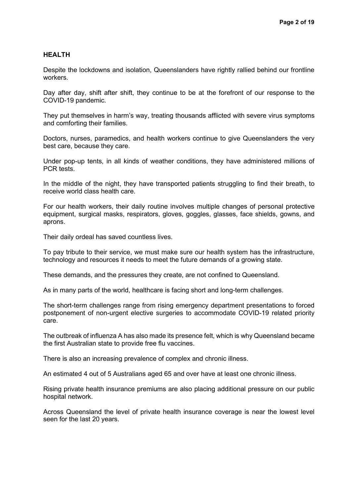#### **HEALTH**

Despite the lockdowns and isolation, Queenslanders have rightly rallied behind our frontline workers.

Day after day, shift after shift, they continue to be at the forefront of our response to the COVID-19 pandemic.

They put themselves in harm's way, treating thousands afflicted with severe virus symptoms and comforting their families.

Doctors, nurses, paramedics, and health workers continue to give Queenslanders the very best care, because they care.

Under pop-up tents, in all kinds of weather conditions, they have administered millions of PCR tests.

In the middle of the night, they have transported patients struggling to find their breath, to receive world class health care.

For our health workers, their daily routine involves multiple changes of personal protective equipment, surgical masks, respirators, gloves, goggles, glasses, face shields, gowns, and aprons.

Their daily ordeal has saved countless lives.

To pay tribute to their service, we must make sure our health system has the infrastructure, technology and resources it needs to meet the future demands of a growing state.

These demands, and the pressures they create, are not confined to Queensland.

As in many parts of the world, healthcare is facing short and long-term challenges.

The short-term challenges range from rising emergency department presentations to forced postponement of non-urgent elective surgeries to accommodate COVID-19 related priority care.

The outbreak of influenza A has also made its presence felt, which is why Queensland became the first Australian state to provide free flu vaccines.

There is also an increasing prevalence of complex and chronic illness.

An estimated 4 out of 5 Australians aged 65 and over have at least one chronic illness.

Rising private health insurance premiums are also placing additional pressure on our public hospital network.

Across Queensland the level of private health insurance coverage is near the lowest level seen for the last 20 years.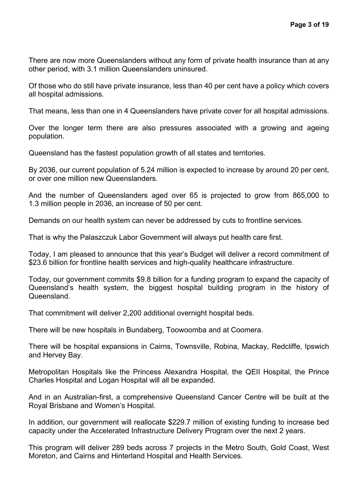There are now more Queenslanders without any form of private health insurance than at any other period, with 3.1 million Queenslanders uninsured.

Of those who do still have private insurance, less than 40 per cent have a policy which covers all hospital admissions.

That means, less than one in 4 Queenslanders have private cover for all hospital admissions.

Over the longer term there are also pressures associated with a growing and ageing population.

Queensland has the fastest population growth of all states and territories.

By 2036, our current population of 5.24 million is expected to increase by around 20 per cent, or over one million new Queenslanders.

And the number of Queenslanders aged over 65 is projected to grow from 865,000 to 1.3 million people in 2036, an increase of 50 per cent.

Demands on our health system can never be addressed by cuts to frontline services.

That is why the Palaszczuk Labor Government will always put health care first.

Today, I am pleased to announce that this year's Budget will deliver a record commitment of \$23.6 billion for frontline health services and high-quality healthcare infrastructure.

Today, our government commits \$9.8 billion for a funding program to expand the capacity of Queensland's health system, the biggest hospital building program in the history of Queensland.

That commitment will deliver 2,200 additional overnight hospital beds.

There will be new hospitals in Bundaberg, Toowoomba and at Coomera.

There will be hospital expansions in Cairns, Townsville, Robina, Mackay, Redcliffe, Ipswich and Hervey Bay.

Metropolitan Hospitals like the Princess Alexandra Hospital, the QEII Hospital, the Prince Charles Hospital and Logan Hospital will all be expanded.

And in an Australian-first, a comprehensive Queensland Cancer Centre will be built at the Royal Brisbane and Women's Hospital.

In addition, our government will reallocate \$229.7 million of existing funding to increase bed capacity under the Accelerated Infrastructure Delivery Program over the next 2 years.

This program will deliver 289 beds across 7 projects in the Metro South, Gold Coast, West Moreton, and Cairns and Hinterland Hospital and Health Services.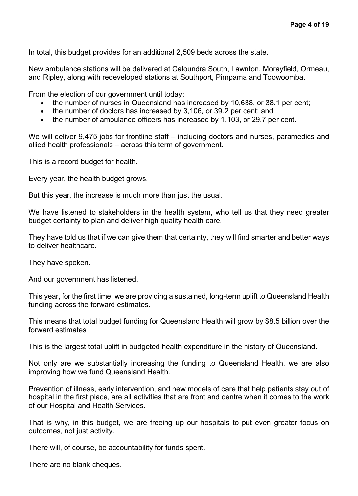In total, this budget provides for an additional 2,509 beds across the state.

New ambulance stations will be delivered at Caloundra South, Lawnton, Morayfield, Ormeau, and Ripley, along with redeveloped stations at Southport, Pimpama and Toowoomba.

From the election of our government until today:

- the number of nurses in Queensland has increased by 10,638, or 38.1 per cent;
- the number of doctors has increased by 3,106, or 39.2 per cent; and
- the number of ambulance officers has increased by 1,103, or 29.7 per cent.

We will deliver 9,475 jobs for frontline staff – including doctors and nurses, paramedics and allied health professionals – across this term of government.

This is a record budget for health.

Every year, the health budget grows.

But this year, the increase is much more than just the usual.

We have listened to stakeholders in the health system, who tell us that they need greater budget certainty to plan and deliver high quality health care.

They have told us that if we can give them that certainty, they will find smarter and better ways to deliver healthcare.

They have spoken.

And our government has listened.

This year, for the first time, we are providing a sustained, long-term uplift to Queensland Health funding across the forward estimates.

This means that total budget funding for Queensland Health will grow by \$8.5 billion over the forward estimates

This is the largest total uplift in budgeted health expenditure in the history of Queensland.

Not only are we substantially increasing the funding to Queensland Health, we are also improving how we fund Queensland Health.

Prevention of illness, early intervention, and new models of care that help patients stay out of hospital in the first place, are all activities that are front and centre when it comes to the work of our Hospital and Health Services.

That is why, in this budget, we are freeing up our hospitals to put even greater focus on outcomes, not just activity.

There will, of course, be accountability for funds spent.

There are no blank cheques.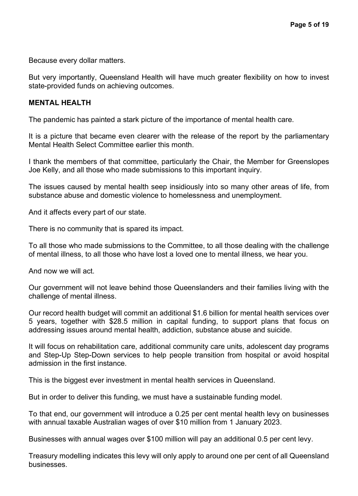Because every dollar matters.

But very importantly, Queensland Health will have much greater flexibility on how to invest state-provided funds on achieving outcomes.

## **MENTAL HEALTH**

The pandemic has painted a stark picture of the importance of mental health care.

It is a picture that became even clearer with the release of the report by the parliamentary Mental Health Select Committee earlier this month.

I thank the members of that committee, particularly the Chair, the Member for Greenslopes Joe Kelly, and all those who made submissions to this important inquiry.

The issues caused by mental health seep insidiously into so many other areas of life, from substance abuse and domestic violence to homelessness and unemployment.

And it affects every part of our state.

There is no community that is spared its impact.

To all those who made submissions to the Committee, to all those dealing with the challenge of mental illness, to all those who have lost a loved one to mental illness, we hear you.

And now we will act.

Our government will not leave behind those Queenslanders and their families living with the challenge of mental illness.

Our record health budget will commit an additional \$1.6 billion for mental health services over 5 years, together with \$28.5 million in capital funding, to support plans that focus on addressing issues around mental health, addiction, substance abuse and suicide.

It will focus on rehabilitation care, additional community care units, adolescent day programs and Step-Up Step-Down services to help people transition from hospital or avoid hospital admission in the first instance.

This is the biggest ever investment in mental health services in Queensland.

But in order to deliver this funding, we must have a sustainable funding model.

To that end, our government will introduce a 0.25 per cent mental health levy on businesses with annual taxable Australian wages of over \$10 million from 1 January 2023.

Businesses with annual wages over \$100 million will pay an additional 0.5 per cent levy.

Treasury modelling indicates this levy will only apply to around one per cent of all Queensland businesses.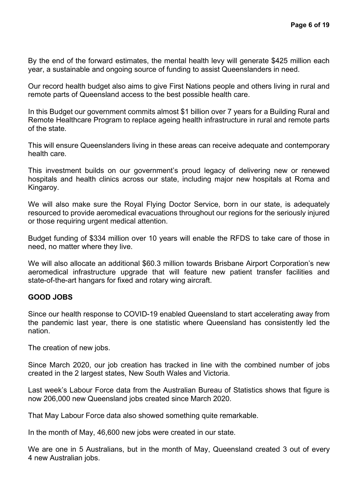By the end of the forward estimates, the mental health levy will generate \$425 million each year, a sustainable and ongoing source of funding to assist Queenslanders in need.

Our record health budget also aims to give First Nations people and others living in rural and remote parts of Queensland access to the best possible health care.

In this Budget our government commits almost \$1 billion over 7 years for a Building Rural and Remote Healthcare Program to replace ageing health infrastructure in rural and remote parts of the state.

This will ensure Queenslanders living in these areas can receive adequate and contemporary health care.

This investment builds on our government's proud legacy of delivering new or renewed hospitals and health clinics across our state, including major new hospitals at Roma and Kingaroy.

We will also make sure the Royal Flying Doctor Service, born in our state, is adequately resourced to provide aeromedical evacuations throughout our regions for the seriously injured or those requiring urgent medical attention.

Budget funding of \$334 million over 10 years will enable the RFDS to take care of those in need, no matter where they live.

We will also allocate an additional \$60.3 million towards Brisbane Airport Corporation's new aeromedical infrastructure upgrade that will feature new patient transfer facilities and state-of-the-art hangars for fixed and rotary wing aircraft.

# **GOOD JOBS**

Since our health response to COVID-19 enabled Queensland to start accelerating away from the pandemic last year, there is one statistic where Queensland has consistently led the nation.

The creation of new jobs.

Since March 2020, our job creation has tracked in line with the combined number of jobs created in the 2 largest states, New South Wales and Victoria.

Last week's Labour Force data from the Australian Bureau of Statistics shows that figure is now 206,000 new Queensland jobs created since March 2020.

That May Labour Force data also showed something quite remarkable.

In the month of May, 46,600 new jobs were created in our state.

We are one in 5 Australians, but in the month of May, Queensland created 3 out of every 4 new Australian jobs.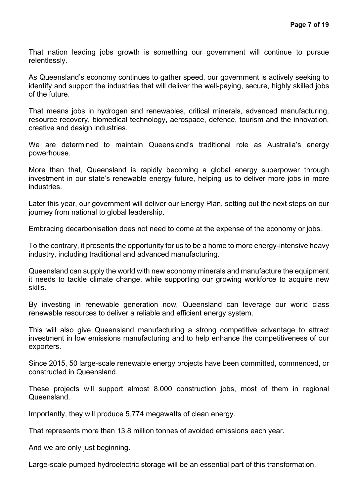That nation leading jobs growth is something our government will continue to pursue relentlessly.

As Queensland's economy continues to gather speed, our government is actively seeking to identify and support the industries that will deliver the well-paying, secure, highly skilled jobs of the future.

That means jobs in hydrogen and renewables, critical minerals, advanced manufacturing, resource recovery, biomedical technology, aerospace, defence, tourism and the innovation, creative and design industries.

We are determined to maintain Queensland's traditional role as Australia's energy powerhouse.

More than that, Queensland is rapidly becoming a global energy superpower through investment in our state's renewable energy future, helping us to deliver more jobs in more industries.

Later this year, our government will deliver our Energy Plan, setting out the next steps on our journey from national to global leadership.

Embracing decarbonisation does not need to come at the expense of the economy or jobs.

To the contrary, it presents the opportunity for us to be a home to more energy-intensive heavy industry, including traditional and advanced manufacturing.

Queensland can supply the world with new economy minerals and manufacture the equipment it needs to tackle climate change, while supporting our growing workforce to acquire new skills.

By investing in renewable generation now, Queensland can leverage our world class renewable resources to deliver a reliable and efficient energy system.

This will also give Queensland manufacturing a strong competitive advantage to attract investment in low emissions manufacturing and to help enhance the competitiveness of our exporters.

Since 2015, 50 large-scale renewable energy projects have been committed, commenced, or constructed in Queensland.

These projects will support almost 8,000 construction jobs, most of them in regional **Queensland** 

Importantly, they will produce 5,774 megawatts of clean energy.

That represents more than 13.8 million tonnes of avoided emissions each year.

And we are only just beginning.

Large-scale pumped hydroelectric storage will be an essential part of this transformation.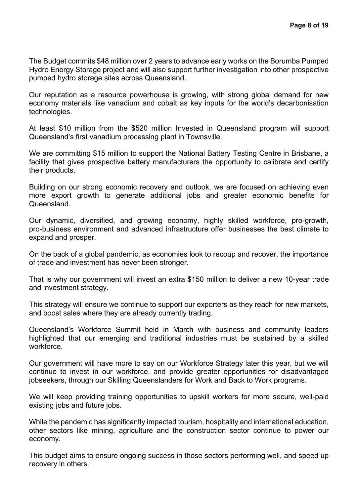The Budget commits \$48 million over 2 years to advance early works on the Borumba Pumped Hydro Energy Storage project and will also support further investigation into other prospective pumped hydro storage sites across Queensland.

Our reputation as a resource powerhouse is growing, with strong global demand for new economy materials like vanadium and cobalt as key inputs for the world's decarbonisation technologies.

At least \$10 million from the \$520 million Invested in Queensland program will support Queensland's first vanadium processing plant in Townsville.

We are committing \$15 million to support the National Battery Testing Centre in Brisbane, a facility that gives prospective battery manufacturers the opportunity to calibrate and certify their products.

Building on our strong economic recovery and outlook, we are focused on achieving even more export growth to generate additional jobs and greater economic benefits for Queensland.

Our dynamic, diversified, and growing economy, highly skilled workforce, pro-growth, pro-business environment and advanced infrastructure offer businesses the best climate to expand and prosper.

On the back of a global pandemic, as economies look to recoup and recover, the importance of trade and investment has never been stronger.

That is why our government will invest an extra \$150 million to deliver a new 10-year trade and investment strategy.

This strategy will ensure we continue to support our exporters as they reach for new markets, and boost sales where they are already currently trading.

Queensland's Workforce Summit held in March with business and community leaders highlighted that our emerging and traditional industries must be sustained by a skilled workforce.

Our government will have more to say on our Workforce Strategy later this year, but we will continue to invest in our workforce, and provide greater opportunities for disadvantaged jobseekers, through our Skilling Queenslanders for Work and Back to Work programs.

We will keep providing training opportunities to upskill workers for more secure, well-paid existing jobs and future jobs.

While the pandemic has significantly impacted tourism, hospitality and international education, other sectors like mining, agriculture and the construction sector continue to power our economy.

This budget aims to ensure ongoing success in those sectors performing well, and speed up recovery in others.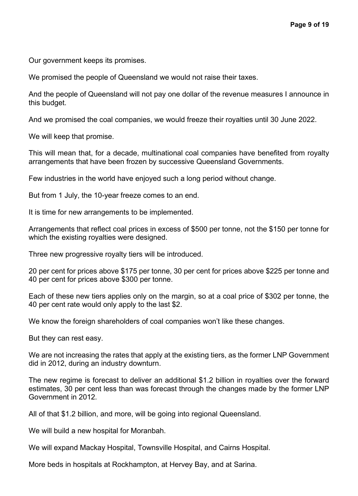Our government keeps its promises.

We promised the people of Queensland we would not raise their taxes.

And the people of Queensland will not pay one dollar of the revenue measures I announce in this budget.

And we promised the coal companies, we would freeze their royalties until 30 June 2022.

We will keep that promise.

This will mean that, for a decade, multinational coal companies have benefited from royalty arrangements that have been frozen by successive Queensland Governments.

Few industries in the world have enjoyed such a long period without change.

But from 1 July, the 10-year freeze comes to an end.

It is time for new arrangements to be implemented.

Arrangements that reflect coal prices in excess of \$500 per tonne, not the \$150 per tonne for which the existing royalties were designed.

Three new progressive royalty tiers will be introduced.

20 per cent for prices above \$175 per tonne, 30 per cent for prices above \$225 per tonne and 40 per cent for prices above \$300 per tonne.

Each of these new tiers applies only on the margin, so at a coal price of \$302 per tonne, the 40 per cent rate would only apply to the last \$2.

We know the foreign shareholders of coal companies won't like these changes.

But they can rest easy.

We are not increasing the rates that apply at the existing tiers, as the former LNP Government did in 2012, during an industry downturn.

The new regime is forecast to deliver an additional \$1.2 billion in royalties over the forward estimates, 30 per cent less than was forecast through the changes made by the former LNP Government in 2012.

All of that \$1.2 billion, and more, will be going into regional Queensland.

We will build a new hospital for Moranbah.

We will expand Mackay Hospital, Townsville Hospital, and Cairns Hospital.

More beds in hospitals at Rockhampton, at Hervey Bay, and at Sarina.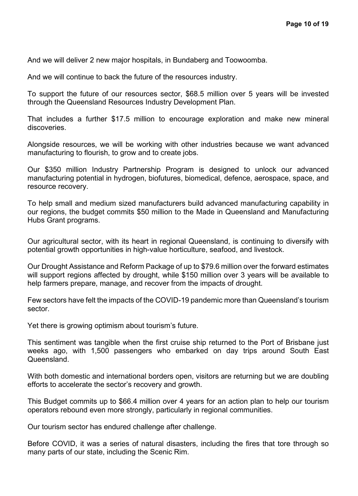And we will deliver 2 new major hospitals, in Bundaberg and Toowoomba.

And we will continue to back the future of the resources industry.

To support the future of our resources sector, \$68.5 million over 5 years will be invested through the Queensland Resources Industry Development Plan.

That includes a further \$17.5 million to encourage exploration and make new mineral discoveries.

Alongside resources, we will be working with other industries because we want advanced manufacturing to flourish, to grow and to create jobs.

Our \$350 million Industry Partnership Program is designed to unlock our advanced manufacturing potential in hydrogen, biofutures, biomedical, defence, aerospace, space, and resource recovery.

To help small and medium sized manufacturers build advanced manufacturing capability in our regions, the budget commits \$50 million to the Made in Queensland and Manufacturing Hubs Grant programs.

Our agricultural sector, with its heart in regional Queensland, is continuing to diversify with potential growth opportunities in high-value horticulture, seafood, and livestock.

Our Drought Assistance and Reform Package of up to \$79.6 million over the forward estimates will support regions affected by drought, while \$150 million over 3 years will be available to help farmers prepare, manage, and recover from the impacts of drought.

Few sectors have felt the impacts of the COVID-19 pandemic more than Queensland's tourism sector.

Yet there is growing optimism about tourism's future.

This sentiment was tangible when the first cruise ship returned to the Port of Brisbane just weeks ago, with 1,500 passengers who embarked on day trips around South East **Queensland** 

With both domestic and international borders open, visitors are returning but we are doubling efforts to accelerate the sector's recovery and growth.

This Budget commits up to \$66.4 million over 4 years for an action plan to help our tourism operators rebound even more strongly, particularly in regional communities.

Our tourism sector has endured challenge after challenge.

Before COVID, it was a series of natural disasters, including the fires that tore through so many parts of our state, including the Scenic Rim.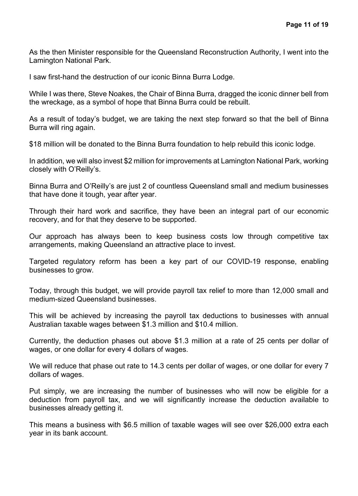As the then Minister responsible for the Queensland Reconstruction Authority, I went into the Lamington National Park.

I saw first-hand the destruction of our iconic Binna Burra Lodge.

While I was there, Steve Noakes, the Chair of Binna Burra, dragged the iconic dinner bell from the wreckage, as a symbol of hope that Binna Burra could be rebuilt.

As a result of today's budget, we are taking the next step forward so that the bell of Binna Burra will ring again.

\$18 million will be donated to the Binna Burra foundation to help rebuild this iconic lodge.

In addition, we will also invest \$2 million for improvements at Lamington National Park, working closely with O'Reilly's.

Binna Burra and O'Reilly's are just 2 of countless Queensland small and medium businesses that have done it tough, year after year.

Through their hard work and sacrifice, they have been an integral part of our economic recovery, and for that they deserve to be supported.

Our approach has always been to keep business costs low through competitive tax arrangements, making Queensland an attractive place to invest.

Targeted regulatory reform has been a key part of our COVID-19 response, enabling businesses to grow.

Today, through this budget, we will provide payroll tax relief to more than 12,000 small and medium-sized Queensland businesses.

This will be achieved by increasing the payroll tax deductions to businesses with annual Australian taxable wages between \$1.3 million and \$10.4 million.

Currently, the deduction phases out above \$1.3 million at a rate of 25 cents per dollar of wages, or one dollar for every 4 dollars of wages.

We will reduce that phase out rate to 14.3 cents per dollar of wages, or one dollar for every 7 dollars of wages.

Put simply, we are increasing the number of businesses who will now be eligible for a deduction from payroll tax, and we will significantly increase the deduction available to businesses already getting it.

This means a business with \$6.5 million of taxable wages will see over \$26,000 extra each year in its bank account.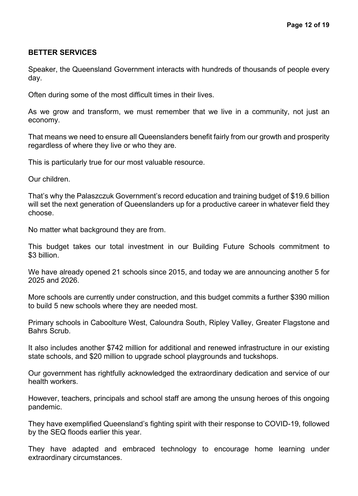# **BETTER SERVICES**

Speaker, the Queensland Government interacts with hundreds of thousands of people every day.

Often during some of the most difficult times in their lives.

As we grow and transform, we must remember that we live in a community, not just an economy.

That means we need to ensure all Queenslanders benefit fairly from our growth and prosperity regardless of where they live or who they are.

This is particularly true for our most valuable resource.

Our children.

That's why the Palaszczuk Government's record education and training budget of \$19.6 billion will set the next generation of Queenslanders up for a productive career in whatever field they choose.

No matter what background they are from.

This budget takes our total investment in our Building Future Schools commitment to \$3 billion.

We have already opened 21 schools since 2015, and today we are announcing another 5 for 2025 and 2026.

More schools are currently under construction, and this budget commits a further \$390 million to build 5 new schools where they are needed most.

Primary schools in Caboolture West, Caloundra South, Ripley Valley, Greater Flagstone and Bahrs Scrub.

It also includes another \$742 million for additional and renewed infrastructure in our existing state schools, and \$20 million to upgrade school playgrounds and tuckshops.

Our government has rightfully acknowledged the extraordinary dedication and service of our health workers.

However, teachers, principals and school staff are among the unsung heroes of this ongoing pandemic.

They have exemplified Queensland's fighting spirit with their response to COVID-19, followed by the SEQ floods earlier this year.

They have adapted and embraced technology to encourage home learning under extraordinary circumstances.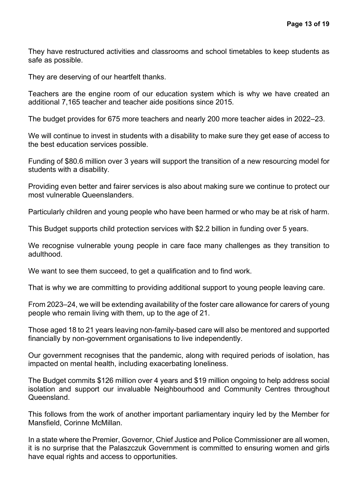They have restructured activities and classrooms and school timetables to keep students as safe as possible.

They are deserving of our heartfelt thanks.

Teachers are the engine room of our education system which is why we have created an additional 7,165 teacher and teacher aide positions since 2015.

The budget provides for 675 more teachers and nearly 200 more teacher aides in 2022–23.

We will continue to invest in students with a disability to make sure they get ease of access to the best education services possible.

Funding of \$80.6 million over 3 years will support the transition of a new resourcing model for students with a disability.

Providing even better and fairer services is also about making sure we continue to protect our most vulnerable Queenslanders.

Particularly children and young people who have been harmed or who may be at risk of harm.

This Budget supports child protection services with \$2.2 billion in funding over 5 years.

We recognise vulnerable young people in care face many challenges as they transition to adulthood.

We want to see them succeed, to get a qualification and to find work.

That is why we are committing to providing additional support to young people leaving care.

From 2023–24, we will be extending availability of the foster care allowance for carers of young people who remain living with them, up to the age of 21.

Those aged 18 to 21 years leaving non-family-based care will also be mentored and supported financially by non-government organisations to live independently.

Our government recognises that the pandemic, along with required periods of isolation, has impacted on mental health, including exacerbating loneliness.

The Budget commits \$126 million over 4 years and \$19 million ongoing to help address social isolation and support our invaluable Neighbourhood and Community Centres throughout **Queensland** 

This follows from the work of another important parliamentary inquiry led by the Member for Mansfield, Corinne McMillan.

In a state where the Premier, Governor, Chief Justice and Police Commissioner are all women, it is no surprise that the Palaszczuk Government is committed to ensuring women and girls have equal rights and access to opportunities.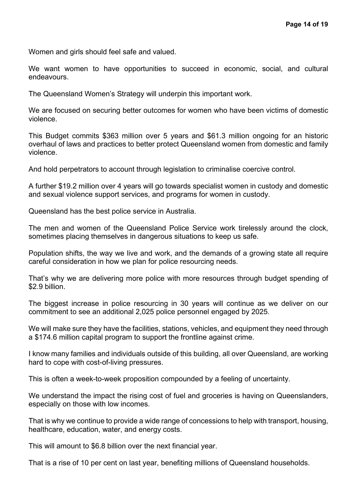Women and girls should feel safe and valued.

We want women to have opportunities to succeed in economic, social, and cultural endeavours.

The Queensland Women's Strategy will underpin this important work.

We are focused on securing better outcomes for women who have been victims of domestic violence.

This Budget commits \$363 million over 5 years and \$61.3 million ongoing for an historic overhaul of laws and practices to better protect Queensland women from domestic and family violence.

And hold perpetrators to account through legislation to criminalise coercive control.

A further \$19.2 million over 4 years will go towards specialist women in custody and domestic and sexual violence support services, and programs for women in custody.

Queensland has the best police service in Australia.

The men and women of the Queensland Police Service work tirelessly around the clock, sometimes placing themselves in dangerous situations to keep us safe.

Population shifts, the way we live and work, and the demands of a growing state all require careful consideration in how we plan for police resourcing needs.

That's why we are delivering more police with more resources through budget spending of \$2.9 billion.

The biggest increase in police resourcing in 30 years will continue as we deliver on our commitment to see an additional 2,025 police personnel engaged by 2025.

We will make sure they have the facilities, stations, vehicles, and equipment they need through a \$174.6 million capital program to support the frontline against crime.

I know many families and individuals outside of this building, all over Queensland, are working hard to cope with cost-of-living pressures.

This is often a week-to-week proposition compounded by a feeling of uncertainty.

We understand the impact the rising cost of fuel and groceries is having on Queenslanders, especially on those with low incomes.

That is why we continue to provide a wide range of concessions to help with transport, housing, healthcare, education, water, and energy costs.

This will amount to \$6.8 billion over the next financial year.

That is a rise of 10 per cent on last year, benefiting millions of Queensland households.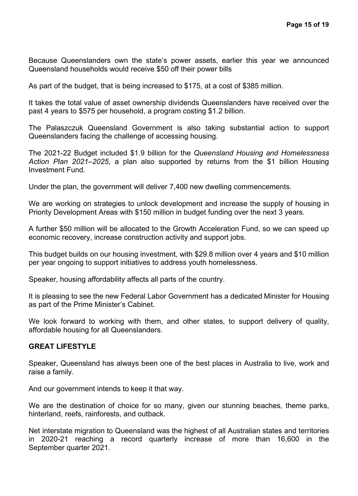Because Queenslanders own the state's power assets, earlier this year we announced Queensland households would receive \$50 off their power bills

As part of the budget, that is being increased to \$175, at a cost of \$385 million.

It takes the total value of asset ownership dividends Queenslanders have received over the past 4 years to \$575 per household, a program costing \$1.2 billion.

The Palaszczuk Queensland Government is also taking substantial action to support Queenslanders facing the challenge of accessing housing.

The 2021-22 Budget included \$1.9 billion for the *Queensland Housing and Homelessness Action Plan 2021–2025*, a plan also supported by returns from the \$1 billion Housing Investment Fund.

Under the plan, the government will deliver 7,400 new dwelling commencements.

We are working on strategies to unlock development and increase the supply of housing in Priority Development Areas with \$150 million in budget funding over the next 3 years.

A further \$50 million will be allocated to the Growth Acceleration Fund, so we can speed up economic recovery, increase construction activity and support jobs.

This budget builds on our housing investment, with \$29.8 million over 4 years and \$10 million per year ongoing to support initiatives to address youth homelessness.

Speaker, housing affordability affects all parts of the country.

It is pleasing to see the new Federal Labor Government has a dedicated Minister for Housing as part of the Prime Minister's Cabinet.

We look forward to working with them, and other states, to support delivery of quality, affordable housing for all Queenslanders.

### **GREAT LIFESTYLE**

Speaker, Queensland has always been one of the best places in Australia to live, work and raise a family.

And our government intends to keep it that way.

We are the destination of choice for so many, given our stunning beaches, theme parks, hinterland, reefs, rainforests, and outback.

Net interstate migration to Queensland was the highest of all Australian states and territories in 2020-21 reaching a record quarterly increase of more than 16,600 in the September quarter 2021.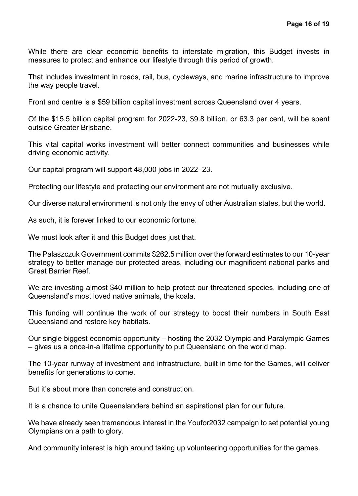While there are clear economic benefits to interstate migration, this Budget invests in measures to protect and enhance our lifestyle through this period of growth.

That includes investment in roads, rail, bus, cycleways, and marine infrastructure to improve the way people travel.

Front and centre is a \$59 billion capital investment across Queensland over 4 years.

Of the \$15.5 billion capital program for 2022-23, \$9.8 billion, or 63.3 per cent, will be spent outside Greater Brisbane.

This vital capital works investment will better connect communities and businesses while driving economic activity.

Our capital program will support 48,000 jobs in 2022–23.

Protecting our lifestyle and protecting our environment are not mutually exclusive.

Our diverse natural environment is not only the envy of other Australian states, but the world.

As such, it is forever linked to our economic fortune.

We must look after it and this Budget does just that.

The Palaszczuk Government commits \$262.5 million over the forward estimates to our 10-year strategy to better manage our protected areas, including our magnificent national parks and Great Barrier Reef.

We are investing almost \$40 million to help protect our threatened species, including one of Queensland's most loved native animals, the koala.

This funding will continue the work of our strategy to boost their numbers in South East Queensland and restore key habitats.

Our single biggest economic opportunity – hosting the 2032 Olympic and Paralympic Games – gives us a once-in-a lifetime opportunity to put Queensland on the world map.

The 10-year runway of investment and infrastructure, built in time for the Games, will deliver benefits for generations to come.

But it's about more than concrete and construction.

It is a chance to unite Queenslanders behind an aspirational plan for our future.

We have already seen tremendous interest in the Youfor2032 campaign to set potential young Olympians on a path to glory.

And community interest is high around taking up volunteering opportunities for the games.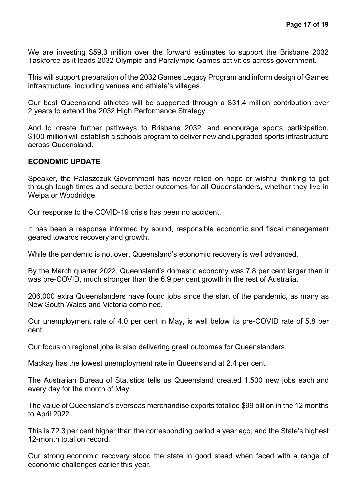We are investing \$59.3 million over the forward estimates to support the Brisbane 2032 Taskforce as it leads 2032 Olympic and Paralympic Games activities across government.

This will support preparation of the 2032 Games Legacy Program and inform design of Games infrastructure, including venues and athlete's villages.

Our best Queensland athletes will be supported through a \$31.4 million contribution over 2 years to extend the 2032 High Performance Strategy.

And to create further pathways to Brisbane 2032, and encourage sports participation, \$100 million will establish a schools program to deliver new and upgraded sports infrastructure across Queensland.

## **ECONOMIC UPDATE**

Speaker, the Palaszczuk Government has never relied on hope or wishful thinking to get through tough times and secure better outcomes for all Queenslanders, whether they live in Weipa or Woodridge.

Our response to the COVID-19 crisis has been no accident.

It has been a response informed by sound, responsible economic and fiscal management geared towards recovery and growth.

While the pandemic is not over, Queensland's economic recovery is well advanced.

By the March quarter 2022, Queensland's domestic economy was 7.8 per cent larger than it was pre-COVID, much stronger than the 6.9 per cent growth in the rest of Australia.

206,000 extra Queenslanders have found jobs since the start of the pandemic, as many as New South Wales and Victoria combined.

Our unemployment rate of 4.0 per cent in May, is well below its pre-COVID rate of 5.8 per cent.

Our focus on regional jobs is also delivering great outcomes for Queenslanders.

Mackay has the lowest unemployment rate in Queensland at 2.4 per cent.

The Australian Bureau of Statistics tells us Queensland created 1,500 new jobs each and every day for the month of May.

The value of Queensland's overseas merchandise exports totalled \$99 billion in the 12 months to April 2022.

This is 72.3 per cent higher than the corresponding period a year ago, and the State's highest 12-month total on record.

Our strong economic recovery stood the state in good stead when faced with a range of economic challenges earlier this year.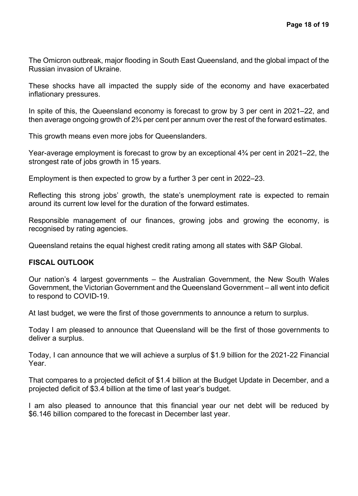The Omicron outbreak, major flooding in South East Queensland, and the global impact of the Russian invasion of Ukraine.

These shocks have all impacted the supply side of the economy and have exacerbated inflationary pressures.

In spite of this, the Queensland economy is forecast to grow by 3 per cent in 2021–22, and then average ongoing growth of  $2\frac{3}{4}$  per cent per annum over the rest of the forward estimates.

This growth means even more jobs for Queenslanders.

Year-average employment is forecast to grow by an exceptional 4¾ per cent in 2021–22, the strongest rate of jobs growth in 15 years.

Employment is then expected to grow by a further 3 per cent in 2022–23.

Reflecting this strong jobs' growth, the state's unemployment rate is expected to remain around its current low level for the duration of the forward estimates.

Responsible management of our finances, growing jobs and growing the economy, is recognised by rating agencies.

Queensland retains the equal highest credit rating among all states with S&P Global.

# **FISCAL OUTLOOK**

Our nation's 4 largest governments – the Australian Government, the New South Wales Government, the Victorian Government and the Queensland Government – all went into deficit to respond to COVID-19.

At last budget, we were the first of those governments to announce a return to surplus.

Today I am pleased to announce that Queensland will be the first of those governments to deliver a surplus.

Today, I can announce that we will achieve a surplus of \$1.9 billion for the 2021-22 Financial Year.

That compares to a projected deficit of \$1.4 billion at the Budget Update in December, and a projected deficit of \$3.4 billion at the time of last year's budget.

I am also pleased to announce that this financial year our net debt will be reduced by \$6.146 billion compared to the forecast in December last year.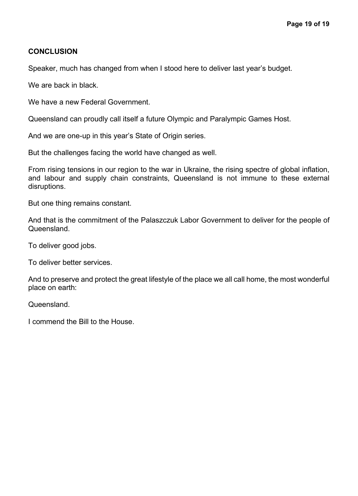# **CONCLUSION**

Speaker, much has changed from when I stood here to deliver last year's budget.

We are back in black.

We have a new Federal Government.

Queensland can proudly call itself a future Olympic and Paralympic Games Host.

And we are one-up in this year's State of Origin series.

But the challenges facing the world have changed as well.

From rising tensions in our region to the war in Ukraine, the rising spectre of global inflation, and labour and supply chain constraints, Queensland is not immune to these external disruptions.

But one thing remains constant.

And that is the commitment of the Palaszczuk Labor Government to deliver for the people of **Queensland** 

To deliver good jobs.

To deliver better services.

And to preserve and protect the great lifestyle of the place we all call home, the most wonderful place on earth:

**Queensland** 

I commend the Bill to the House.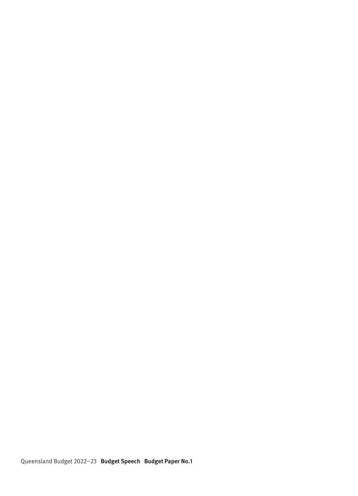Queensland Budget 2022–23 **Budget Speech Budget Paper No.1**